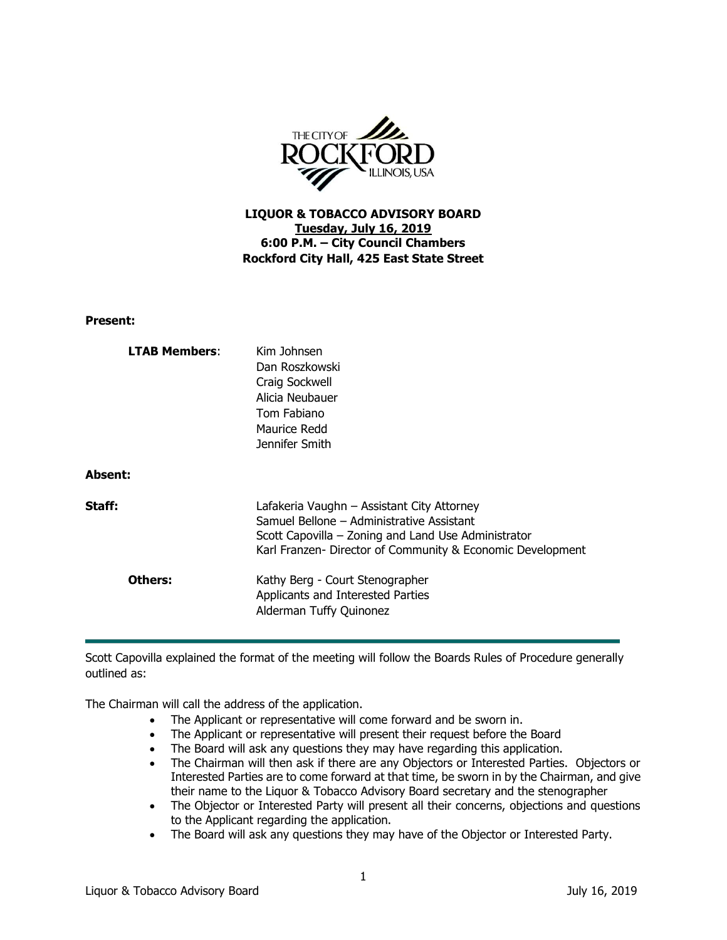

## **LIQUOR & TOBACCO ADVISORY BOARD Tuesday, July 16, 2019 6:00 P.M. – City Council Chambers Rockford City Hall, 425 East State Street**

**Present:**

| <b>LTAB Members:</b><br><b>Absent:</b> | Kim Johnsen<br>Dan Roszkowski<br>Craig Sockwell<br>Alicia Neubauer<br>Tom Fabiano<br>Maurice Redd<br>Jennifer Smith                                                                                          |
|----------------------------------------|--------------------------------------------------------------------------------------------------------------------------------------------------------------------------------------------------------------|
| Staff:                                 | Lafakeria Vaughn - Assistant City Attorney<br>Samuel Bellone – Administrative Assistant<br>Scott Capovilla – Zoning and Land Use Administrator<br>Karl Franzen- Director of Community & Economic Development |
| Others:                                | Kathy Berg - Court Stenographer<br>Applicants and Interested Parties<br>Alderman Tuffy Quinonez                                                                                                              |

Scott Capovilla explained the format of the meeting will follow the Boards Rules of Procedure generally outlined as:

The Chairman will call the address of the application.

- The Applicant or representative will come forward and be sworn in.
- The Applicant or representative will present their request before the Board
- The Board will ask any questions they may have regarding this application.
- The Chairman will then ask if there are any Objectors or Interested Parties. Objectors or Interested Parties are to come forward at that time, be sworn in by the Chairman, and give their name to the Liquor & Tobacco Advisory Board secretary and the stenographer
- The Objector or Interested Party will present all their concerns, objections and questions to the Applicant regarding the application.
- The Board will ask any questions they may have of the Objector or Interested Party.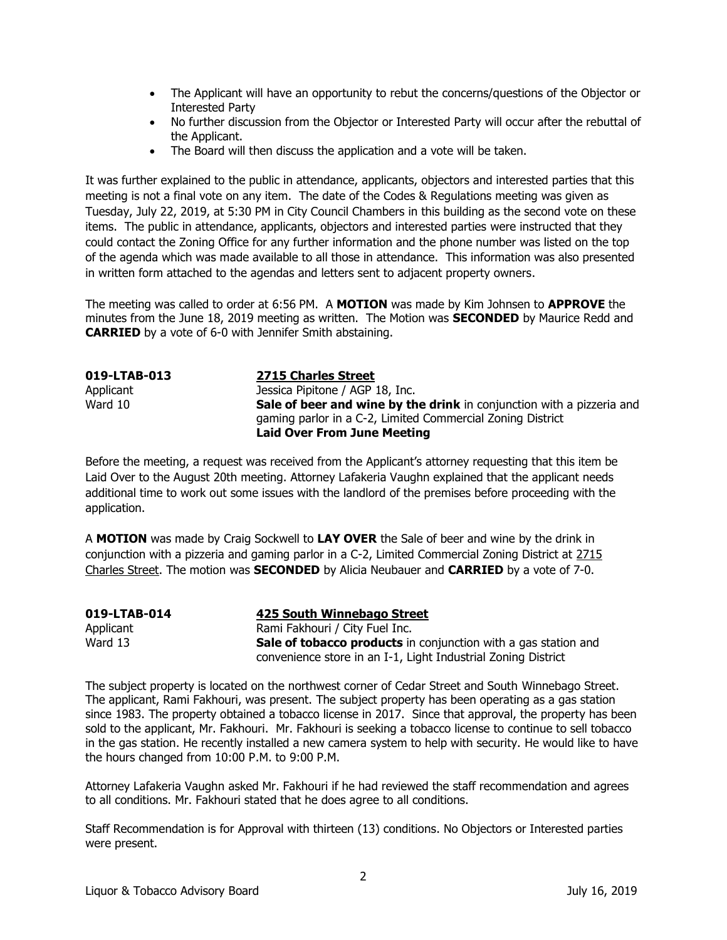- The Applicant will have an opportunity to rebut the concerns/questions of the Objector or Interested Party
- No further discussion from the Objector or Interested Party will occur after the rebuttal of the Applicant.
- The Board will then discuss the application and a vote will be taken.

It was further explained to the public in attendance, applicants, objectors and interested parties that this meeting is not a final vote on any item. The date of the Codes & Regulations meeting was given as Tuesday, July 22, 2019, at 5:30 PM in City Council Chambers in this building as the second vote on these items. The public in attendance, applicants, objectors and interested parties were instructed that they could contact the Zoning Office for any further information and the phone number was listed on the top of the agenda which was made available to all those in attendance. This information was also presented in written form attached to the agendas and letters sent to adjacent property owners.

The meeting was called to order at 6:56 PM. A **MOTION** was made by Kim Johnsen to **APPROVE** the minutes from the June 18, 2019 meeting as written. The Motion was **SECONDED** by Maurice Redd and **CARRIED** by a vote of 6-0 with Jennifer Smith abstaining.

| 019-LTAB-013 | 2715 Charles Street                                                   |
|--------------|-----------------------------------------------------------------------|
| Applicant    | Jessica Pipitone / AGP 18, Inc.                                       |
| Ward 10      | Sale of beer and wine by the drink in conjunction with a pizzeria and |
|              | gaming parlor in a C-2, Limited Commercial Zoning District            |
|              | <b>Laid Over From June Meeting</b>                                    |

Before the meeting, a request was received from the Applicant's attorney requesting that this item be Laid Over to the August 20th meeting. Attorney Lafakeria Vaughn explained that the applicant needs additional time to work out some issues with the landlord of the premises before proceeding with the application.

A **MOTION** was made by Craig Sockwell to **LAY OVER** the Sale of beer and wine by the drink in conjunction with a pizzeria and gaming parlor in a C-2, Limited Commercial Zoning District at 2715 Charles Street. The motion was **SECONDED** by Alicia Neubauer and **CARRIED** by a vote of 7-0.

| 019-LTAB-014 | 425 South Winnebago Street                                            |
|--------------|-----------------------------------------------------------------------|
| Applicant    | Rami Fakhouri / City Fuel Inc.                                        |
| Ward 13      | <b>Sale of tobacco products</b> in conjunction with a gas station and |
|              | convenience store in an I-1, Light Industrial Zoning District         |

The subject property is located on the northwest corner of Cedar Street and South Winnebago Street. The applicant, Rami Fakhouri, was present. The subject property has been operating as a gas station since 1983. The property obtained a tobacco license in 2017. Since that approval, the property has been sold to the applicant, Mr. Fakhouri. Mr. Fakhouri is seeking a tobacco license to continue to sell tobacco in the gas station. He recently installed a new camera system to help with security. He would like to have the hours changed from 10:00 P.M. to 9:00 P.M.

Attorney Lafakeria Vaughn asked Mr. Fakhouri if he had reviewed the staff recommendation and agrees to all conditions. Mr. Fakhouri stated that he does agree to all conditions.

Staff Recommendation is for Approval with thirteen (13) conditions. No Objectors or Interested parties were present.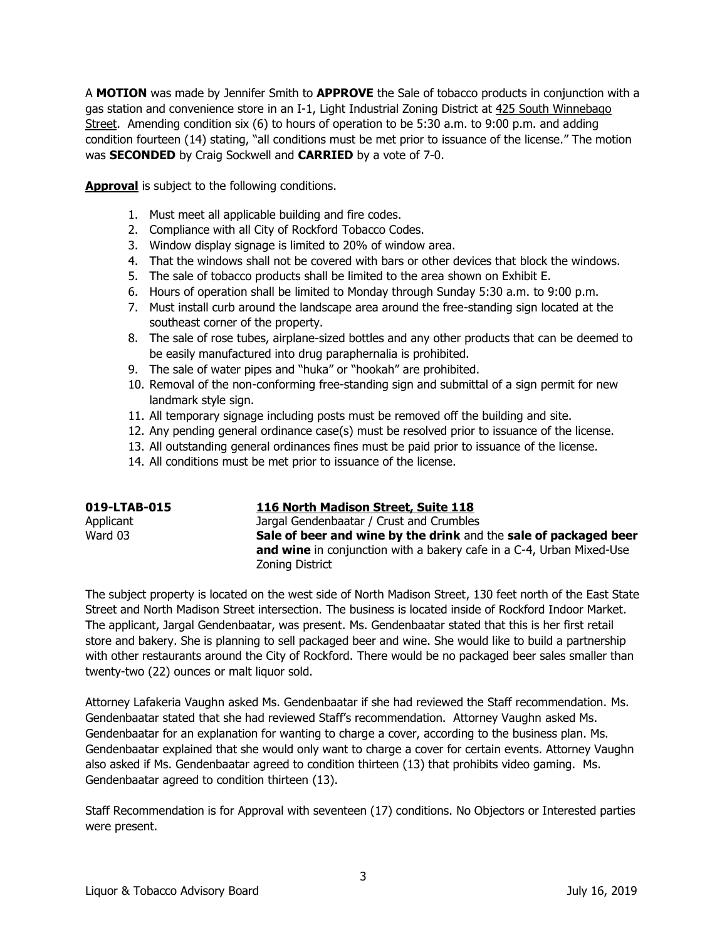A **MOTION** was made by Jennifer Smith to **APPROVE** the Sale of tobacco products in conjunction with a gas station and convenience store in an I-1, Light Industrial Zoning District at 425 South Winnebago Street. Amending condition six (6) to hours of operation to be 5:30 a.m. to 9:00 p.m. and adding condition fourteen (14) stating, "all conditions must be met prior to issuance of the license." The motion was **SECONDED** by Craig Sockwell and **CARRIED** by a vote of 7-0.

**Approval** is subject to the following conditions.

- 1. Must meet all applicable building and fire codes.
- 2. Compliance with all City of Rockford Tobacco Codes.
- 3. Window display signage is limited to 20% of window area.
- 4. That the windows shall not be covered with bars or other devices that block the windows.
- 5. The sale of tobacco products shall be limited to the area shown on Exhibit E.
- 6. Hours of operation shall be limited to Monday through Sunday 5:30 a.m. to 9:00 p.m.
- 7. Must install curb around the landscape area around the free-standing sign located at the southeast corner of the property.
- 8. The sale of rose tubes, airplane-sized bottles and any other products that can be deemed to be easily manufactured into drug paraphernalia is prohibited.
- 9. The sale of water pipes and "huka" or "hookah" are prohibited.
- 10. Removal of the non-conforming free-standing sign and submittal of a sign permit for new landmark style sign.
- 11. All temporary signage including posts must be removed off the building and site.
- 12. Any pending general ordinance case(s) must be resolved prior to issuance of the license.
- 13. All outstanding general ordinances fines must be paid prior to issuance of the license.
- 14. All conditions must be met prior to issuance of the license.

| 019-LTAB-015 | 116 North Madison Street, Suite 118                                  |
|--------------|----------------------------------------------------------------------|
| Applicant    | Jargal Gendenbaatar / Crust and Crumbles                             |
| Ward 03      | Sale of beer and wine by the drink and the sale of packaged beer     |
|              | and wine in conjunction with a bakery cafe in a C-4, Urban Mixed-Use |
|              | Zoning District                                                      |

The subject property is located on the west side of North Madison Street, 130 feet north of the East State Street and North Madison Street intersection. The business is located inside of Rockford Indoor Market. The applicant, Jargal Gendenbaatar, was present. Ms. Gendenbaatar stated that this is her first retail store and bakery. She is planning to sell packaged beer and wine. She would like to build a partnership with other restaurants around the City of Rockford. There would be no packaged beer sales smaller than twenty-two (22) ounces or malt liquor sold.

Attorney Lafakeria Vaughn asked Ms. Gendenbaatar if she had reviewed the Staff recommendation. Ms. Gendenbaatar stated that she had reviewed Staff's recommendation. Attorney Vaughn asked Ms. Gendenbaatar for an explanation for wanting to charge a cover, according to the business plan. Ms. Gendenbaatar explained that she would only want to charge a cover for certain events. Attorney Vaughn also asked if Ms. Gendenbaatar agreed to condition thirteen (13) that prohibits video gaming. Ms. Gendenbaatar agreed to condition thirteen (13).

Staff Recommendation is for Approval with seventeen (17) conditions. No Objectors or Interested parties were present.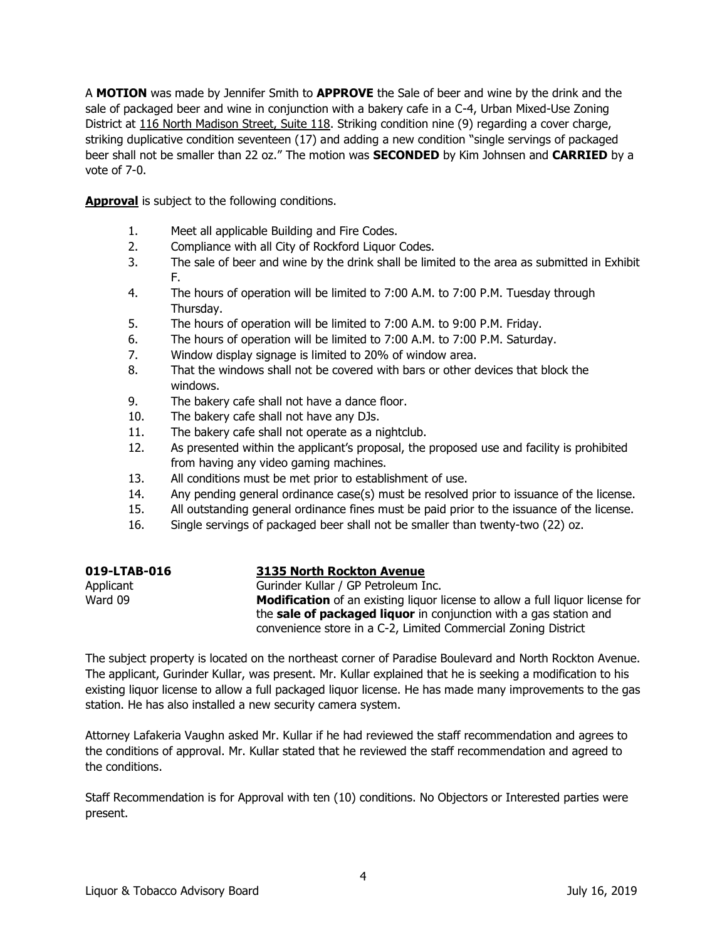A **MOTION** was made by Jennifer Smith to **APPROVE** the Sale of beer and wine by the drink and the sale of packaged beer and wine in conjunction with a bakery cafe in a C-4, Urban Mixed-Use Zoning District at 116 North Madison Street, Suite 118. Striking condition nine (9) regarding a cover charge, striking duplicative condition seventeen (17) and adding a new condition "single servings of packaged beer shall not be smaller than 22 oz." The motion was **SECONDED** by Kim Johnsen and **CARRIED** by a vote of 7-0.

**Approval** is subject to the following conditions.

- 1. Meet all applicable Building and Fire Codes.
- 2. Compliance with all City of Rockford Liquor Codes.
- 3. The sale of beer and wine by the drink shall be limited to the area as submitted in Exhibit F.
- 4. The hours of operation will be limited to 7:00 A.M. to 7:00 P.M. Tuesday through Thursday.
- 5. The hours of operation will be limited to 7:00 A.M. to 9:00 P.M. Friday.
- 6. The hours of operation will be limited to 7:00 A.M. to 7:00 P.M. Saturday.
- 7. Window display signage is limited to 20% of window area.
- 8. That the windows shall not be covered with bars or other devices that block the windows.
- 9. The bakery cafe shall not have a dance floor.
- 10. The bakery cafe shall not have any DJs.
- 11. The bakery cafe shall not operate as a nightclub.
- 12. As presented within the applicant's proposal, the proposed use and facility is prohibited from having any video gaming machines.
- 13. All conditions must be met prior to establishment of use.
- 14. Any pending general ordinance case(s) must be resolved prior to issuance of the license.
- 15. All outstanding general ordinance fines must be paid prior to the issuance of the license.
- 16. Single servings of packaged beer shall not be smaller than twenty-two (22) oz.

| 019-LTAB-016 | 3135 North Rockton Avenue                                                            |
|--------------|--------------------------------------------------------------------------------------|
| Applicant    | Gurinder Kullar / GP Petroleum Inc.                                                  |
| Ward 09      | <b>Modification</b> of an existing liquor license to allow a full liquor license for |
|              | the sale of packaged liquor in conjunction with a gas station and                    |
|              | convenience store in a C-2, Limited Commercial Zoning District                       |

The subject property is located on the northeast corner of Paradise Boulevard and North Rockton Avenue. The applicant, Gurinder Kullar, was present. Mr. Kullar explained that he is seeking a modification to his existing liquor license to allow a full packaged liquor license. He has made many improvements to the gas station. He has also installed a new security camera system.

Attorney Lafakeria Vaughn asked Mr. Kullar if he had reviewed the staff recommendation and agrees to the conditions of approval. Mr. Kullar stated that he reviewed the staff recommendation and agreed to the conditions.

Staff Recommendation is for Approval with ten (10) conditions. No Objectors or Interested parties were present.